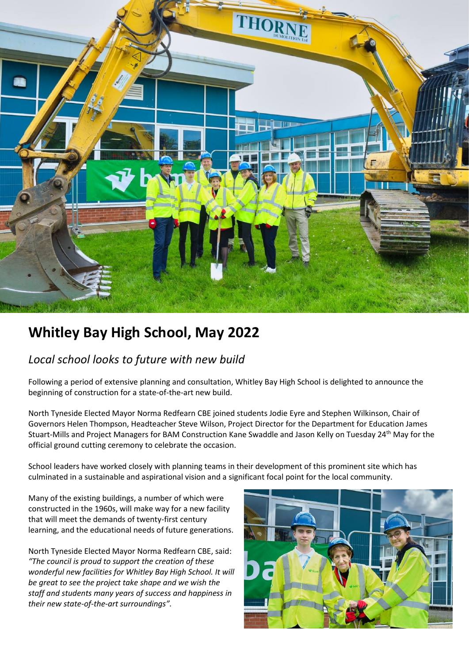

## **Whitley Bay High School, May 2022**

## *Local school looks to future with new build*

Following a period of extensive planning and consultation, Whitley Bay High School is delighted to announce the beginning of construction for a state-of-the-art new build.

North Tyneside Elected Mayor Norma Redfearn CBE joined students Jodie Eyre and Stephen Wilkinson, Chair of Governors Helen Thompson, Headteacher Steve Wilson, Project Director for the Department for Education James Stuart-Mills and Project Managers for BAM Construction Kane Swaddle and Jason Kelly on Tuesday 24th May for the official ground cutting ceremony to celebrate the occasion.

School leaders have worked closely with planning teams in their development of this prominent site which has culminated in a sustainable and aspirational vision and a significant focal point for the local community.

Many of the existing buildings, a number of which were constructed in the 1960s, will make way for a new facility that will meet the demands of twenty-first century learning, and the educational needs of future generations.

North Tyneside Elected Mayor Norma Redfearn CBE, said: *"The council is proud to support the creation of these wonderful new facilities for Whitley Bay High School. It will be great to see the project take shape and we wish the staff and students many years of success and happiness in their new state-of-the-art surroundings".*

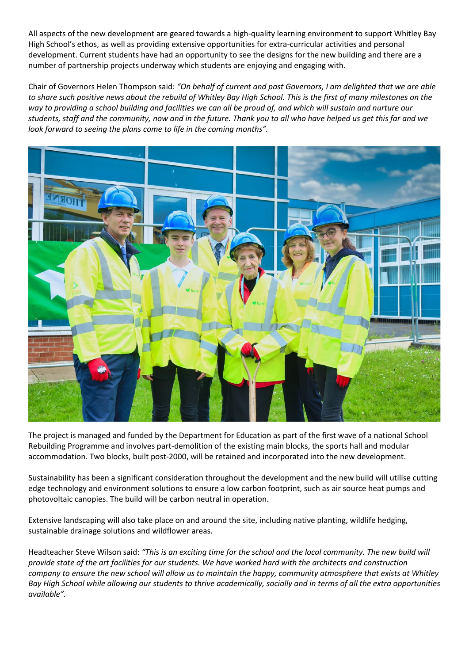All aspects of the new development are geared towards a high-quality learning environment to support Whitley Bay High School's ethos, as well as providing extensive opportunities for extra-curricular activities and personal development. Current students have had an opportunity to see the designs for the new building and there are a number of partnership projects underway which students are enjoying and engaging with.

Chair of Governors Helen Thompson said: *"On behalf of current and past Governors, I am delighted that we are able to share such positive news about the rebuild of Whitley Bay High School. This is the first of many milestones on the way to providing a school building and facilities we can all be proud of, and which will sustain and nurture our students, staff and the community, now and in the future. Thank you to all who have helped us get this far and we look forward to seeing the plans come to life in the coming months".* 



The project is managed and funded by the Department for Education as part of the first wave of a national School Rebuilding Programme and involves part-demolition of the existing main blocks, the sports hall and modular accommodation. Two blocks, built post-2000, will be retained and incorporated into the new development.

Sustainability has been a significant consideration throughout the development and the new build will utilise cutting edge technology and environment solutions to ensure a low carbon footprint, such as air source heat pumps and photovoltaic canopies. The build will be carbon neutral in operation.

Extensive landscaping will also take place on and around the site, including native planting, wildlife hedging, sustainable drainage solutions and wildflower areas.

Headteacher Steve Wilson said: *"This is an exciting time for the school and the local community. The new build will provide state of the art facilities for our students. We have worked hard with the architects and construction company to ensure the new school will allow us to maintain the happy, community atmosphere that exists at Whitley Bay High School while allowing our students to thrive academically, socially and in terms of all the extra opportunities available".*